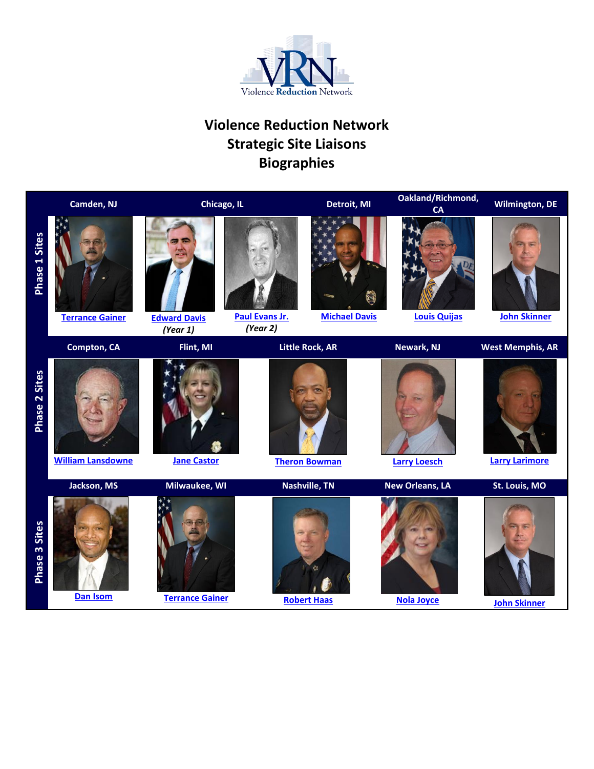

# **Violence Reduction Network Strategic Site Liaisons Biographies**

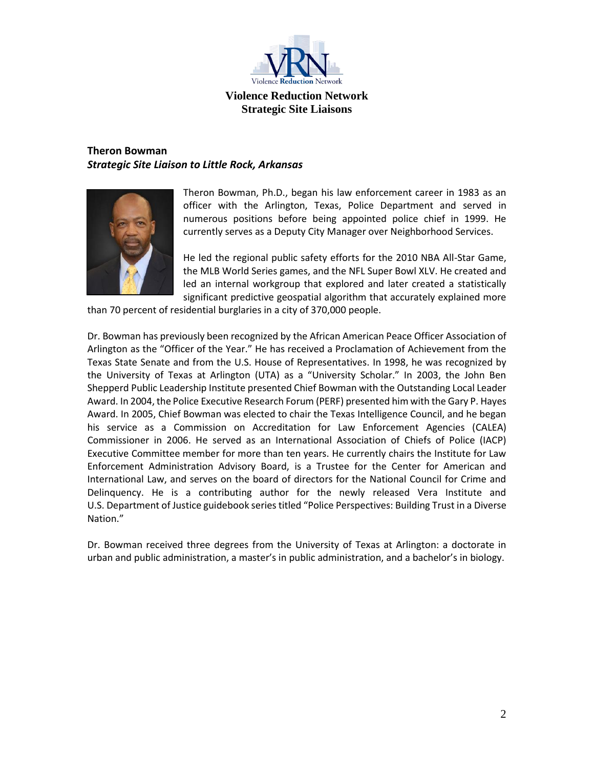

# <span id="page-1-0"></span>**Theron Bowman** *Strategic Site Liaison to Little Rock, Arkansas*



Theron Bowman, Ph.D., began his law enforcement career in 1983 as an officer with the Arlington, Texas, Police Department and served in numerous positions before being appointed police chief in 1999. He currently serves as a Deputy City Manager over Neighborhood Services.

He led the regional public safety efforts for the 2010 NBA All-Star Game, the MLB World Series games, and the NFL Super Bowl XLV. He created and led an internal workgroup that explored and later created a statistically significant predictive geospatial algorithm that accurately explained more

than 70 percent of residential burglaries in a city of 370,000 people.

Dr. Bowman has previously been recognized by the African American Peace Officer Association of Arlington as the "Officer of the Year." He has received a Proclamation of Achievement from the Texas State Senate and from the U.S. House of Representatives. In 1998, he was recognized by the University of Texas at Arlington (UTA) as a "University Scholar." In 2003, the John Ben Shepperd Public Leadership Institute presented Chief Bowman with the Outstanding Local Leader Award. In 2004, the Police Executive Research Forum (PERF) presented him with the Gary P. Hayes Award. In 2005, Chief Bowman was elected to chair the Texas Intelligence Council, and he began his service as a Commission on Accreditation for Law Enforcement Agencies (CALEA) Commissioner in 2006. He served as an International Association of Chiefs of Police (IACP) Executive Committee member for more than ten years. He currently chairs the Institute for Law Enforcement Administration Advisory Board, is a Trustee for the Center for American and International Law, and serves on the board of directors for the National Council for Crime and Delinquency. He is a contributing author for the newly released Vera Institute and U.S. Department of Justice guidebook series titled "Police Perspectives: Building Trust in a Diverse Nation."

Dr. Bowman received three degrees from the University of Texas at Arlington: a doctorate in urban and public administration, a master's in public administration, and a bachelor's in biology.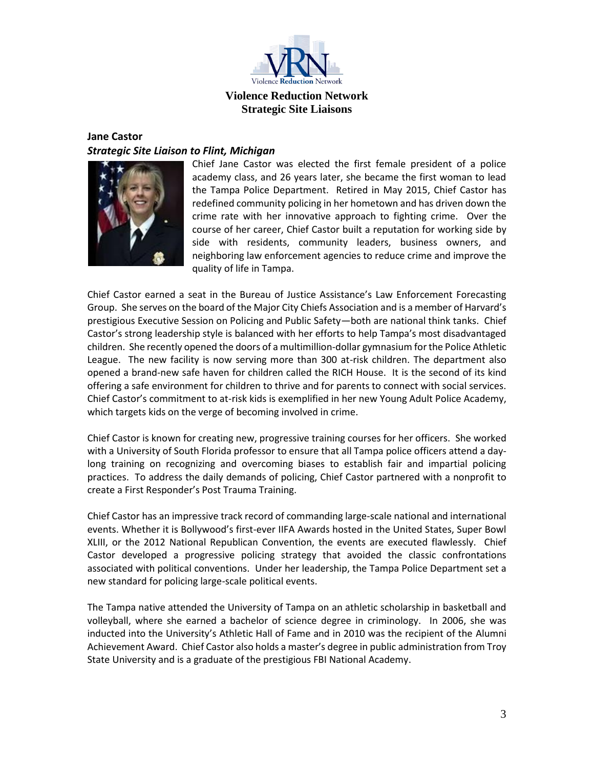

### <span id="page-2-0"></span>**Jane Castor**  *Strategic Site Liaison to Flint, Michigan*



Chief Jane Castor was elected the first female president of a police academy class, and 26 years later, she became the first woman to lead the Tampa Police Department. Retired in May 2015, Chief Castor has redefined community policing in her hometown and has driven down the crime rate with her innovative approach to fighting crime. Over the course of her career, Chief Castor built a reputation for working side by side with residents, community leaders, business owners, and neighboring law enforcement agencies to reduce crime and improve the quality of life in Tampa.

Chief Castor earned a seat in the Bureau of Justice Assistance's Law Enforcement Forecasting Group. She serves on the board of the Major City Chiefs Association and is a member of Harvard's prestigious Executive Session on Policing and Public Safety—both are national think tanks. Chief Castor's strong leadership style is balanced with her efforts to help Tampa's most disadvantaged children. She recently opened the doors of a multimillion-dollar gymnasium for the Police Athletic League. The new facility is now serving more than 300 at-risk children. The department also opened a brand-new safe haven for children called the RICH House. It is the second of its kind offering a safe environment for children to thrive and for parents to connect with social services. Chief Castor's commitment to at-risk kids is exemplified in her new Young Adult Police Academy, which targets kids on the verge of becoming involved in crime.

Chief Castor is known for creating new, progressive training courses for her officers. She worked with a University of South Florida professor to ensure that all Tampa police officers attend a daylong training on recognizing and overcoming biases to establish fair and impartial policing practices. To address the daily demands of policing, Chief Castor partnered with a nonprofit to create a First Responder's Post Trauma Training.

Chief Castor has an impressive track record of commanding large-scale national and international events. Whether it is Bollywood's first-ever IIFA Awards hosted in the United States, Super Bowl XLIII, or the 2012 National Republican Convention, the events are executed flawlessly. Chief Castor developed a progressive policing strategy that avoided the classic confrontations associated with political conventions. Under her leadership, the Tampa Police Department set a new standard for policing large-scale political events.

The Tampa native attended the University of Tampa on an athletic scholarship in basketball and volleyball, where she earned a bachelor of science degree in criminology. In 2006, she was inducted into the University's Athletic Hall of Fame and in 2010 was the recipient of the Alumni Achievement Award. Chief Castor also holds a master's degree in public administration from Troy State University and is a graduate of the prestigious FBI National Academy.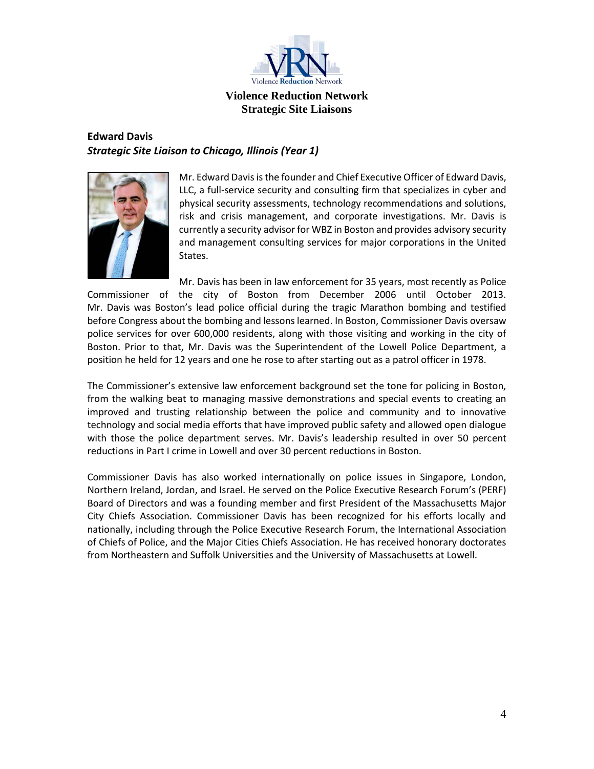

# <span id="page-3-0"></span>**Edward Davis** *Strategic Site Liaison to Chicago, Illinois (Year 1)*



Mr. Edward Davis is the founder and Chief Executive Officer of Edward Davis, LLC, a full-service security and consulting firm that specializes in cyber and physical security assessments, technology recommendations and solutions, risk and crisis management, and corporate investigations. Mr. Davis is currently a security advisor for WBZ in Boston and provides advisory security and management consulting services for major corporations in the United States.

Mr. Davis has been in law enforcement for 35 years, most recently as Police Commissioner of the city of Boston from December 2006 until October 2013. Mr. Davis was Boston's lead police official during the tragic Marathon bombing and testified before Congress about the bombing and lessons learned. In Boston, Commissioner Davis oversaw police services for over 600,000 residents, along with those visiting and working in the city of Boston. Prior to that, Mr. Davis was the Superintendent of the Lowell Police Department, a position he held for 12 years and one he rose to after starting out as a patrol officer in 1978.

The Commissioner's extensive law enforcement background set the tone for policing in Boston, from the walking beat to managing massive demonstrations and special events to creating an improved and trusting relationship between the police and community and to innovative technology and social media efforts that have improved public safety and allowed open dialogue with those the police department serves. Mr. Davis's leadership resulted in over 50 percent reductions in Part I crime in Lowell and over 30 percent reductions in Boston.

Commissioner Davis has also worked internationally on police issues in Singapore, London, Northern Ireland, Jordan, and Israel. He served on the Police Executive Research Forum's (PERF) Board of Directors and was a founding member and first President of the Massachusetts Major City Chiefs Association. Commissioner Davis has been recognized for his efforts locally and nationally, including through the Police Executive Research Forum, the International Association of Chiefs of Police, and the Major Cities Chiefs Association. He has received honorary doctorates from Northeastern and Suffolk Universities and the University of Massachusetts at Lowell.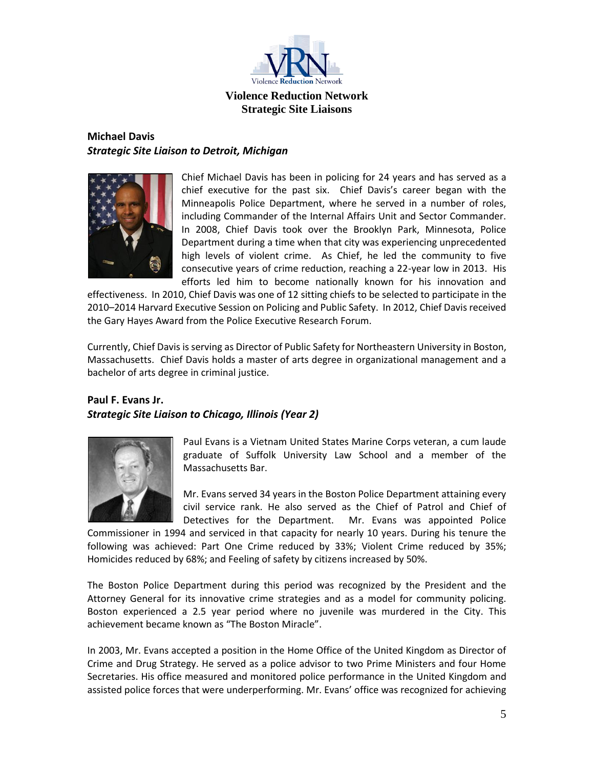

# <span id="page-4-1"></span>**Michael Davis** *Strategic Site Liaison to Detroit, Michigan*



Chief Michael Davis has been in policing for 24 years and has served as a chief executive for the past six. Chief Davis's career began with the Minneapolis Police Department, where he served in a number of roles, including Commander of the Internal Affairs Unit and Sector Commander. In 2008, Chief Davis took over the Brooklyn Park, Minnesota, Police Department during a time when that city was experiencing unprecedented high levels of violent crime. As Chief, he led the community to five consecutive years of crime reduction, reaching a 22-year low in 2013. His efforts led him to become nationally known for his innovation and

effectiveness. In 2010, Chief Davis was one of 12 sitting chiefs to be selected to participate in the 2010–2014 Harvard Executive Session on Policing and Public Safety. In 2012, Chief Davis received the Gary Hayes Award from the Police Executive Research Forum.

Currently, Chief Davis is serving as Director of Public Safety for Northeastern University in Boston, Massachusetts. Chief Davis holds a master of arts degree in organizational management and a bachelor of arts degree in criminal justice.

# <span id="page-4-0"></span>**Paul F. Evans Jr.** *Strategic Site Liaison to Chicago, Illinois (Year 2)*



Paul Evans is a Vietnam United States Marine Corps veteran, a cum laude graduate of Suffolk University Law School and a member of the Massachusetts Bar.

Mr. Evans served 34 years in the Boston Police Department attaining every civil service rank. He also served as the Chief of Patrol and Chief of Detectives for the Department. Mr. Evans was appointed Police

Commissioner in 1994 and serviced in that capacity for nearly 10 years. During his tenure the following was achieved: Part One Crime reduced by 33%; Violent Crime reduced by 35%; Homicides reduced by 68%; and Feeling of safety by citizens increased by 50%.

The Boston Police Department during this period was recognized by the President and the Attorney General for its innovative crime strategies and as a model for community policing. Boston experienced a 2.5 year period where no juvenile was murdered in the City. This achievement became known as "The Boston Miracle".

In 2003, Mr. Evans accepted a position in the Home Office of the United Kingdom as Director of Crime and Drug Strategy. He served as a police advisor to two Prime Ministers and four Home Secretaries. His office measured and monitored police performance in the United Kingdom and assisted police forces that were underperforming. Mr. Evans' office was recognized for achieving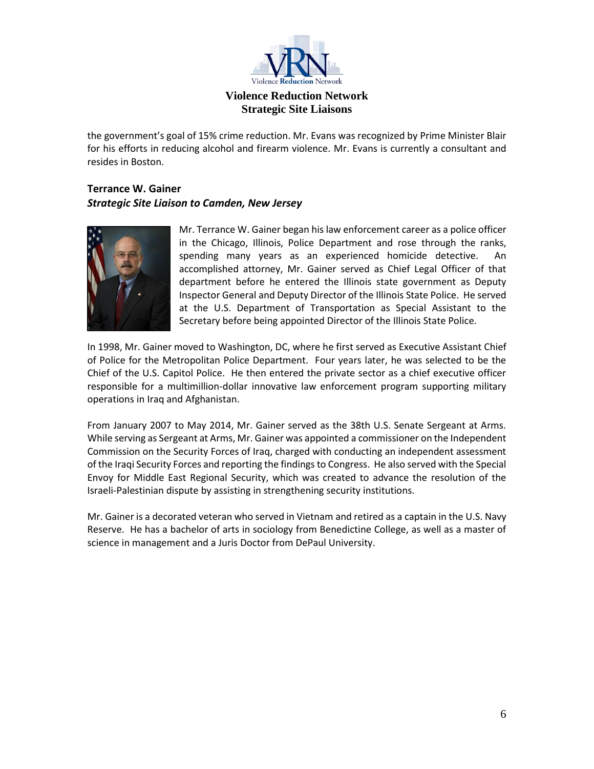

the government's goal of 15% crime reduction. Mr. Evans was recognized by Prime Minister Blair for his efforts in reducing alcohol and firearm violence. Mr. Evans is currently a consultant and resides in Boston.

## <span id="page-5-0"></span>**Terrance W. Gainer** *Strategic Site Liaison to Camden, New Jersey*



Mr. Terrance W. Gainer began his law enforcement career as a police officer in the Chicago, Illinois, Police Department and rose through the ranks, spending many years as an experienced homicide detective. An accomplished attorney, Mr. Gainer served as Chief Legal Officer of that department before he entered the Illinois state government as Deputy Inspector General and Deputy Director of the Illinois State Police. He served at the U.S. Department of Transportation as Special Assistant to the Secretary before being appointed Director of the Illinois State Police.

In 1998, Mr. Gainer moved to Washington, DC, where he first served as Executive Assistant Chief of Police for the Metropolitan Police Department. Four years later, he was selected to be the Chief of the U.S. Capitol Police. He then entered the private sector as a chief executive officer responsible for a multimillion-dollar innovative law enforcement program supporting military operations in Iraq and Afghanistan.

From January 2007 to May 2014, Mr. Gainer served as the 38th U.S. Senate Sergeant at Arms. While serving as Sergeant at Arms, Mr. Gainer was appointed a commissioner on the Independent Commission on the Security Forces of Iraq, charged with conducting an independent assessment of the Iraqi Security Forces and reporting the findings to Congress. He also served with the Special Envoy for Middle East Regional Security, which was created to advance the resolution of the Israeli-Palestinian dispute by assisting in strengthening security institutions.

Mr. Gainer is a decorated veteran who served in Vietnam and retired as a captain in the U.S. Navy Reserve. He has a bachelor of arts in sociology from Benedictine College, as well as a master of science in management and a Juris Doctor from DePaul University.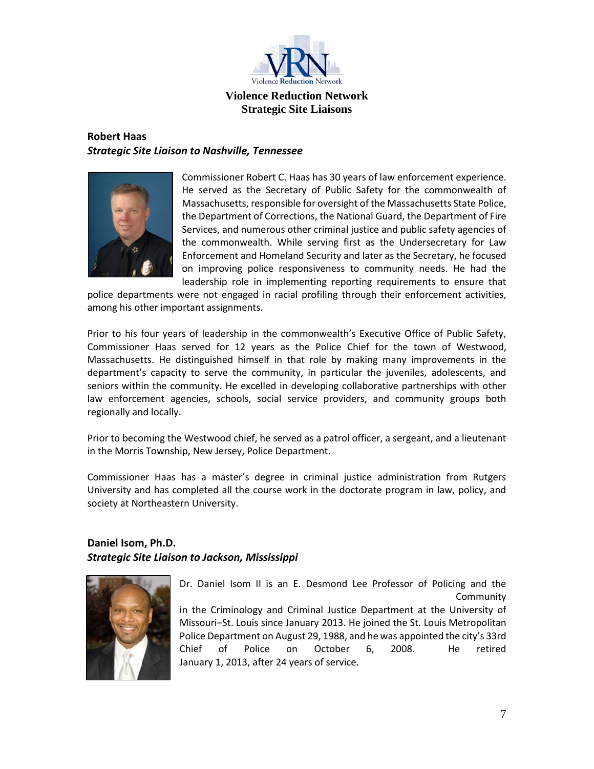

# <span id="page-6-1"></span>**Robert Haas** *Strategic Site Liaison to Nashville, Tennessee*



Commissioner Robert C. Haas has 30 years of law enforcement experience. He served as the Secretary of Public Safety for the commonwealth of Massachusetts, responsible for oversight of the Massachusetts State Police, the Department of Corrections, the National Guard, the Department of Fire Services, and numerous other criminal justice and public safety agencies of the commonwealth. While serving first as the Undersecretary for Law Enforcement and Homeland Security and later as the Secretary, he focused on improving police responsiveness to community needs. He had the leadership role in implementing reporting requirements to ensure that

police departments were not engaged in racial profiling through their enforcement activities, among his other important assignments.

Prior to his four years of leadership in the commonwealth's Executive Office of Public Safety, Commissioner Haas served for 12 years as the Police Chief for the town of Westwood, Massachusetts. He distinguished himself in that role by making many improvements in the department's capacity to serve the community, in particular the juveniles, adolescents, and seniors within the community. He excelled in developing collaborative partnerships with other law enforcement agencies, schools, social service providers, and community groups both regionally and locally.

Prior to becoming the Westwood chief, he served as a patrol officer, a sergeant, and a lieutenant in the Morris Township, New Jersey, Police Department.

Commissioner Haas has a master's degree in criminal justice administration from Rutgers University and has completed all the course work in the doctorate program in law, policy, and society at Northeastern University.

## <span id="page-6-0"></span>**Daniel Isom, Ph.D.** *Strategic Site Liaison to Jackson, Mississippi*



Dr. Daniel Isom II is an E. Desmond Lee Professor of Policing and the Community in the Criminology and Criminal Justice Department at the University of Missouri–St. Louis since January 2013. He joined the St. Louis Metropolitan Police Department on August 29, 1988, and he was appointed the city's 33rd Chief of Police on October 6, 2008. He retired January 1, 2013, after 24 years of service.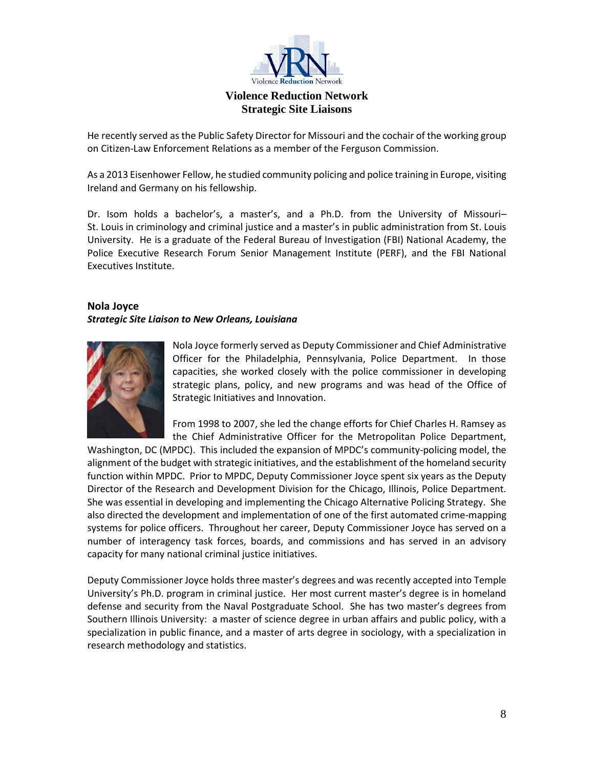

He recently served as the Public Safety Director for Missouri and the cochair of the working group on Citizen-Law Enforcement Relations as a member of the Ferguson Commission.

As a 2013 Eisenhower Fellow, he studied community policing and police training in Europe, visiting Ireland and Germany on his fellowship.

Dr. Isom holds a bachelor's, a master's, and a Ph.D. from the University of Missouri– St. Louis in criminology and criminal justice and a master's in public administration from St. Louis University. He is a graduate of the Federal Bureau of Investigation (FBI) National Academy, the Police Executive Research Forum Senior Management Institute (PERF), and the FBI National Executives Institute.

#### <span id="page-7-0"></span>**Nola Joyce** *Strategic Site Liaison to New Orleans, Louisiana*



Nola Joyce formerly served as Deputy Commissioner and Chief Administrative Officer for the Philadelphia, Pennsylvania, Police Department. In those capacities, she worked closely with the police commissioner in developing strategic plans, policy, and new programs and was head of the Office of Strategic Initiatives and Innovation.

From 1998 to 2007, she led the change efforts for Chief Charles H. Ramsey as the Chief Administrative Officer for the Metropolitan Police Department,

Washington, DC (MPDC). This included the expansion of MPDC's community-policing model, the alignment of the budget with strategic initiatives, and the establishment of the homeland security function within MPDC. Prior to MPDC, Deputy Commissioner Joyce spent six years as the Deputy Director of the Research and Development Division for the Chicago, Illinois, Police Department. She was essential in developing and implementing the Chicago Alternative Policing Strategy. She also directed the development and implementation of one of the first automated crime-mapping systems for police officers. Throughout her career, Deputy Commissioner Joyce has served on a number of interagency task forces, boards, and commissions and has served in an advisory capacity for many national criminal justice initiatives.

Deputy Commissioner Joyce holds three master's degrees and was recently accepted into Temple University's Ph.D. program in criminal justice. Her most current master's degree is in homeland defense and security from the Naval Postgraduate School. She has two master's degrees from Southern Illinois University: a master of science degree in urban affairs and public policy, with a specialization in public finance, and a master of arts degree in sociology, with a specialization in research methodology and statistics.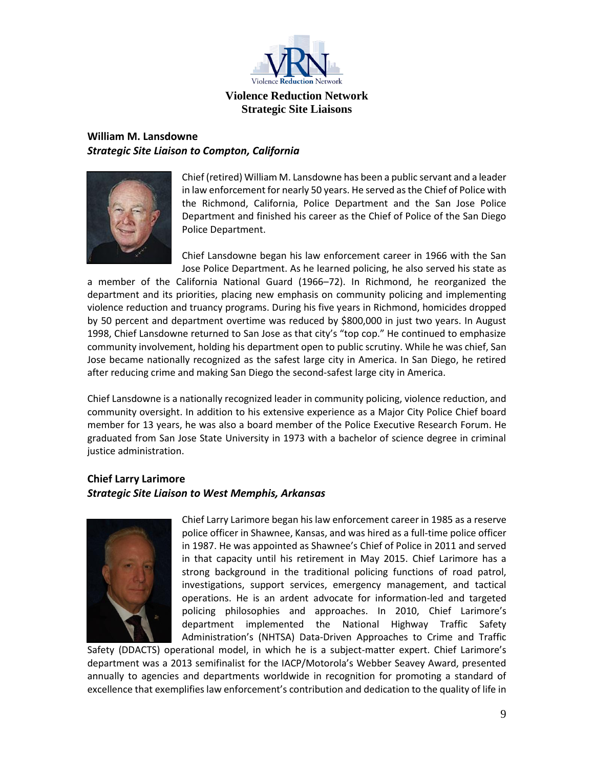

## <span id="page-8-0"></span>**William M. Lansdowne**  *Strategic Site Liaison to Compton, California*



Chief (retired) William M. Lansdowne has been a public servant and a leader in law enforcement for nearly 50 years. He served as the Chief of Police with the Richmond, California, Police Department and the San Jose Police Department and finished his career as the Chief of Police of the San Diego Police Department.

Chief Lansdowne began his law enforcement career in 1966 with the San Jose Police Department. As he learned policing, he also served his state as

a member of the California National Guard (1966–72). In Richmond, he reorganized the department and its priorities, placing new emphasis on community policing and implementing violence reduction and truancy programs. During his five years in Richmond, homicides dropped by 50 percent and department overtime was reduced by \$800,000 in just two years. In August 1998, Chief Lansdowne returned to San Jose as that city's "top cop." He continued to emphasize community involvement, holding his department open to public scrutiny. While he was chief, San Jose became nationally recognized as the safest large city in America. In San Diego, he retired after reducing crime and making San Diego the second-safest large city in America.

Chief Lansdowne is a nationally recognized leader in community policing, violence reduction, and community oversight. In addition to his extensive experience as a Major City Police Chief board member for 13 years, he was also a board member of the Police Executive Research Forum. He graduated from San Jose State University in 1973 with a bachelor of science degree in criminal justice administration.

## <span id="page-8-1"></span>**Chief Larry Larimore** *Strategic Site Liaison to West Memphis, Arkansas*



Chief Larry Larimore began his law enforcement career in 1985 as a reserve police officer in Shawnee, Kansas, and was hired as a full-time police officer in 1987. He was appointed as Shawnee's Chief of Police in 2011 and served in that capacity until his retirement in May 2015. Chief Larimore has a strong background in the traditional policing functions of road patrol, investigations, support services, emergency management, and tactical operations. He is an ardent advocate for information-led and targeted policing philosophies and approaches. In 2010, Chief Larimore's department implemented the National Highway Traffic Safety Administration's (NHTSA) Data-Driven Approaches to Crime and Traffic

Safety (DDACTS) operational model, in which he is a subject-matter expert. Chief Larimore's department was a 2013 semifinalist for the IACP/Motorola's Webber Seavey Award, presented annually to agencies and departments worldwide in recognition for promoting a standard of excellence that exemplifies law enforcement's contribution and dedication to the quality of life in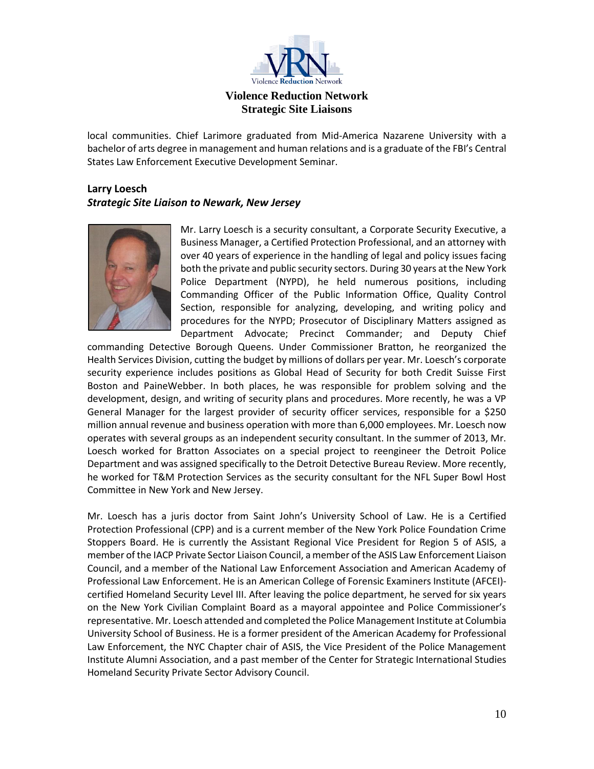

local communities. Chief Larimore graduated from Mid-America Nazarene University with a bachelor of arts degree in management and human relations and is a graduate of the FBI's Central States Law Enforcement Executive Development Seminar.

# <span id="page-9-0"></span>**Larry Loesch** *Strategic Site Liaison to Newark, New Jersey*



Mr. Larry Loesch is a security consultant, a Corporate Security Executive, a Business Manager, a Certified Protection Professional, and an attorney with over 40 years of experience in the handling of legal and policy issues facing both the private and public security sectors. During 30 years at the New York Police Department (NYPD), he held numerous positions, including Commanding Officer of the Public Information Office, Quality Control Section, responsible for analyzing, developing, and writing policy and procedures for the NYPD; Prosecutor of Disciplinary Matters assigned as Department Advocate; Precinct Commander; and Deputy Chief

commanding Detective Borough Queens. Under Commissioner Bratton, he reorganized the Health Services Division, cutting the budget by millions of dollars per year. Mr. Loesch's corporate security experience includes positions as Global Head of Security for both Credit Suisse First Boston and PaineWebber. In both places, he was responsible for problem solving and the development, design, and writing of security plans and procedures. More recently, he was a VP General Manager for the largest provider of security officer services, responsible for a \$250 million annual revenue and business operation with more than 6,000 employees. Mr. Loesch now operates with several groups as an independent security consultant. In the summer of 2013, Mr. Loesch worked for Bratton Associates on a special project to reengineer the Detroit Police Department and was assigned specifically to the Detroit Detective Bureau Review. More recently, he worked for T&M Protection Services as the security consultant for the NFL Super Bowl Host Committee in New York and New Jersey.

Mr. Loesch has a juris doctor from Saint John's University School of Law. He is a Certified Protection Professional (CPP) and is a current member of the New York Police Foundation Crime Stoppers Board. He is currently the Assistant Regional Vice President for Region 5 of ASIS, a member of the IACP Private Sector Liaison Council, a member of the ASIS Law Enforcement Liaison Council, and a member of the National Law Enforcement Association and American Academy of Professional Law Enforcement. He is an American College of Forensic Examiners Institute (AFCEI) certified Homeland Security Level III. After leaving the police department, he served for six years on the New York Civilian Complaint Board as a mayoral appointee and Police Commissioner's representative. Mr. Loesch attended and completed the Police Management Institute at Columbia University School of Business. He is a former president of the American Academy for Professional Law Enforcement, the NYC Chapter chair of ASIS, the Vice President of the Police Management Institute Alumni Association, and a past member of the Center for Strategic International Studies Homeland Security Private Sector Advisory Council.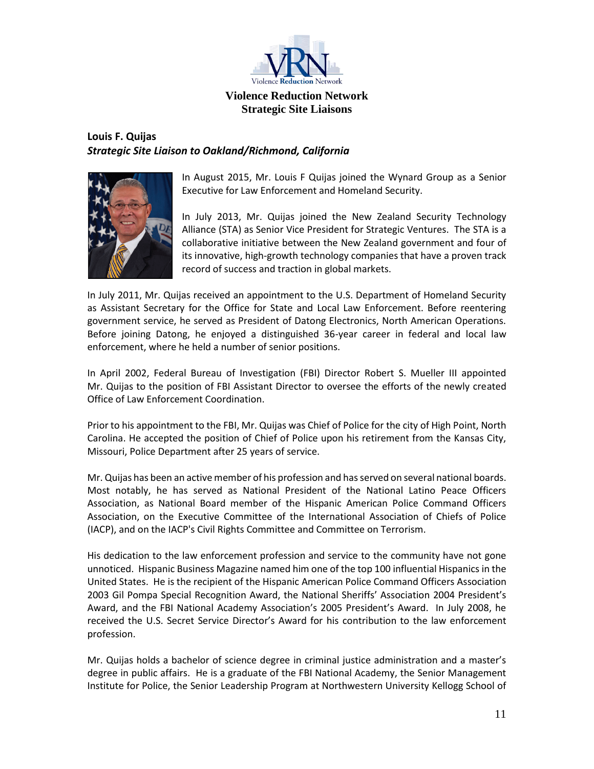

# <span id="page-10-0"></span>**Louis F. Quijas**  *Strategic Site Liaison to Oakland/Richmond, California*



In August 2015, Mr. Louis F Quijas joined the Wynard Group as a Senior Executive for Law Enforcement and Homeland Security.

In July 2013, Mr. Quijas joined the New Zealand Security Technology Alliance (STA) as Senior Vice President for Strategic Ventures. The STA is a collaborative initiative between the New Zealand government and four of its innovative, high-growth technology companies that have a proven track record of success and traction in global markets.

In July 2011, Mr. Quijas received an appointment to the U.S. Department of Homeland Security as Assistant Secretary for the Office for State and Local Law Enforcement. Before reentering government service, he served as President of Datong Electronics, North American Operations. Before joining Datong, he enjoyed a distinguished 36-year career in federal and local law enforcement, where he held a number of senior positions.

In April 2002, Federal Bureau of Investigation (FBI) Director Robert S. Mueller III appointed Mr. Quijas to the position of FBI Assistant Director to oversee the efforts of the newly created Office of Law Enforcement Coordination.

Prior to his appointment to the FBI, Mr. Quijas was Chief of Police for the city of High Point, North Carolina. He accepted the position of Chief of Police upon his retirement from the Kansas City, Missouri, Police Department after 25 years of service.

Mr. Quijas has been an active member of his profession and has served on several national boards. Most notably, he has served as National President of the National Latino Peace Officers Association, as National Board member of the Hispanic American Police Command Officers Association, on the Executive Committee of the International Association of Chiefs of Police (IACP), and on the IACP's Civil Rights Committee and Committee on Terrorism.

His dedication to the law enforcement profession and service to the community have not gone unnoticed. Hispanic Business Magazine named him one of the top 100 influential Hispanics in the United States. He is the recipient of the Hispanic American Police Command Officers Association 2003 Gil Pompa Special Recognition Award, the National Sheriffs' Association 2004 President's Award, and the FBI National Academy Association's 2005 President's Award. In July 2008, he received the U.S. Secret Service Director's Award for his contribution to the law enforcement profession.

Mr. Quijas holds a bachelor of science degree in criminal justice administration and a master's degree in public affairs. He is a graduate of the FBI National Academy, the Senior Management Institute for Police, the Senior Leadership Program at Northwestern University Kellogg School of